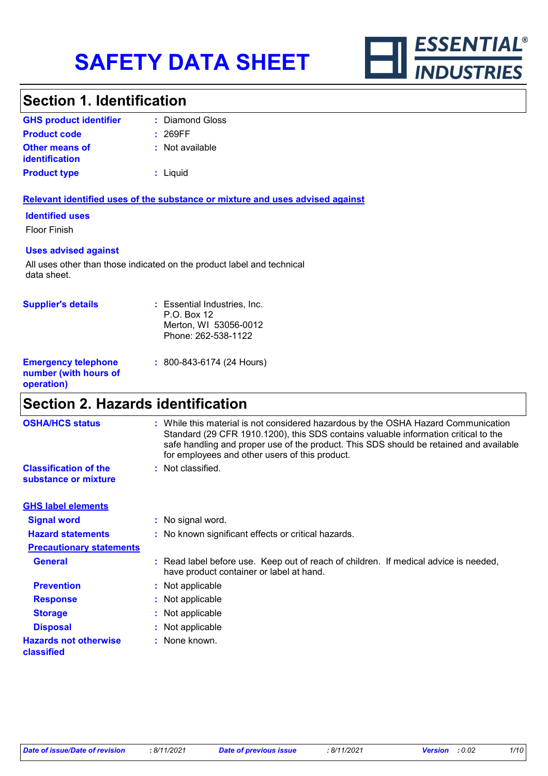

### **Section 1. Identification**

| <b>GHS product identifier</b>                  | : Diamond Gloss |
|------------------------------------------------|-----------------|
| <b>Product code</b>                            | : 269FF         |
| <b>Other means of</b><br><b>identification</b> | : Not available |
| <b>Product type</b>                            | : Liquid        |

#### **Relevant identified uses of the substance or mixture and uses advised against**

#### **Identified uses**

Floor Finish

#### **Uses advised against**

All uses other than those indicated on the product label and technical data sheet.

| <b>Supplier's details</b>                                         | : Essential Industries, Inc.<br>P.O. Box 12<br>Merton, WI 53056-0012<br>Phone: 262-538-1122 |
|-------------------------------------------------------------------|---------------------------------------------------------------------------------------------|
| <b>Emergency telephone</b><br>number (with hours of<br>operation) | : 800-843-6174 (24 Hours)                                                                   |

### **Section 2. Hazards identification**

| <b>OSHA/HCS status</b>                               | : While this material is not considered hazardous by the OSHA Hazard Communication<br>Standard (29 CFR 1910.1200), this SDS contains valuable information critical to the<br>safe handling and proper use of the product. This SDS should be retained and available<br>for employees and other users of this product. |
|------------------------------------------------------|-----------------------------------------------------------------------------------------------------------------------------------------------------------------------------------------------------------------------------------------------------------------------------------------------------------------------|
| <b>Classification of the</b><br>substance or mixture | : Not classified.                                                                                                                                                                                                                                                                                                     |
| <b>GHS label elements</b>                            |                                                                                                                                                                                                                                                                                                                       |
| <b>Signal word</b>                                   | : No signal word.                                                                                                                                                                                                                                                                                                     |
| <b>Hazard statements</b>                             | : No known significant effects or critical hazards.                                                                                                                                                                                                                                                                   |
| <b>Precautionary statements</b>                      |                                                                                                                                                                                                                                                                                                                       |
| <b>General</b>                                       | : Read label before use. Keep out of reach of children. If medical advice is needed,<br>have product container or label at hand.                                                                                                                                                                                      |
| <b>Prevention</b>                                    | : Not applicable                                                                                                                                                                                                                                                                                                      |
| <b>Response</b>                                      | : Not applicable                                                                                                                                                                                                                                                                                                      |
| <b>Storage</b>                                       | : Not applicable                                                                                                                                                                                                                                                                                                      |
| <b>Disposal</b>                                      | : Not applicable                                                                                                                                                                                                                                                                                                      |
| <b>Hazards not otherwise</b><br>classified           | : None known.                                                                                                                                                                                                                                                                                                         |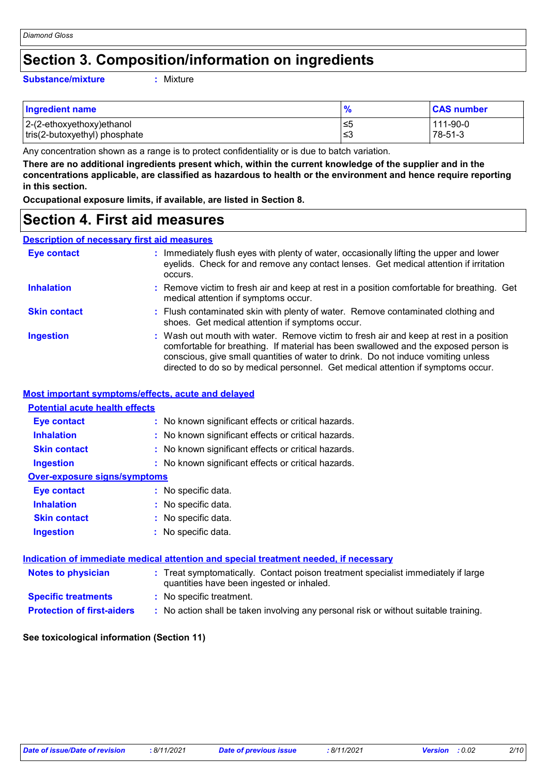### **Section 3. Composition/information on ingredients**

#### **Substance/mixture :**

Mixture

| <b>Ingredient name</b>        | $\frac{1}{2}$ | <b>CAS number</b> |
|-------------------------------|---------------|-------------------|
| 2-(2-ethoxyethoxy)ethanol     | ∙≤5           | 111-90-0          |
| tris(2-butoxyethyl) phosphate | ∣≤3           | 78-51-3           |

Any concentration shown as a range is to protect confidentiality or is due to batch variation.

**There are no additional ingredients present which, within the current knowledge of the supplier and in the concentrations applicable, are classified as hazardous to health or the environment and hence require reporting in this section.**

**Occupational exposure limits, if available, are listed in Section 8.**

### **Section 4. First aid measures**

### **Description of necessary first aid measures**

| <b>Eye contact</b>  | : Immediately flush eyes with plenty of water, occasionally lifting the upper and lower<br>eyelids. Check for and remove any contact lenses. Get medical attention if irritation<br>occurs.                                                                                                                                                            |
|---------------------|--------------------------------------------------------------------------------------------------------------------------------------------------------------------------------------------------------------------------------------------------------------------------------------------------------------------------------------------------------|
| <b>Inhalation</b>   | : Remove victim to fresh air and keep at rest in a position comfortable for breathing. Get<br>medical attention if symptoms occur.                                                                                                                                                                                                                     |
| <b>Skin contact</b> | : Flush contaminated skin with plenty of water. Remove contaminated clothing and<br>shoes. Get medical attention if symptoms occur.                                                                                                                                                                                                                    |
| <b>Ingestion</b>    | : Wash out mouth with water. Remove victim to fresh air and keep at rest in a position<br>comfortable for breathing. If material has been swallowed and the exposed person is<br>conscious, give small quantities of water to drink. Do not induce vomiting unless<br>directed to do so by medical personnel. Get medical attention if symptoms occur. |

#### **Most important symptoms/effects, acute and delayed**

| <b>Potential acute health effects</b> |                                                                                                                                |
|---------------------------------------|--------------------------------------------------------------------------------------------------------------------------------|
| Eye contact                           | : No known significant effects or critical hazards.                                                                            |
| <b>Inhalation</b>                     | : No known significant effects or critical hazards.                                                                            |
| <b>Skin contact</b>                   | : No known significant effects or critical hazards.                                                                            |
| <b>Ingestion</b>                      | : No known significant effects or critical hazards.                                                                            |
| <b>Over-exposure signs/symptoms</b>   |                                                                                                                                |
| Eye contact                           | : No specific data.                                                                                                            |
| <b>Inhalation</b>                     | : No specific data.                                                                                                            |
| <b>Skin contact</b>                   | : No specific data.                                                                                                            |
| <b>Ingestion</b>                      | : No specific data.                                                                                                            |
|                                       | <u>Indication of immediate medical attention and special treatment needed, if necessary</u>                                    |
| <b>Notes to physician</b>             | : Treat symptomatically. Contact poison treatment specialist immediately if large<br>quantities have been ingested or inhaled. |
| <b>Specific treatments</b>            | : No specific treatment.                                                                                                       |
| <b>Protection of first-aiders</b>     | : No action shall be taken involving any personal risk or without suitable training.                                           |

#### **See toxicological information (Section 11)**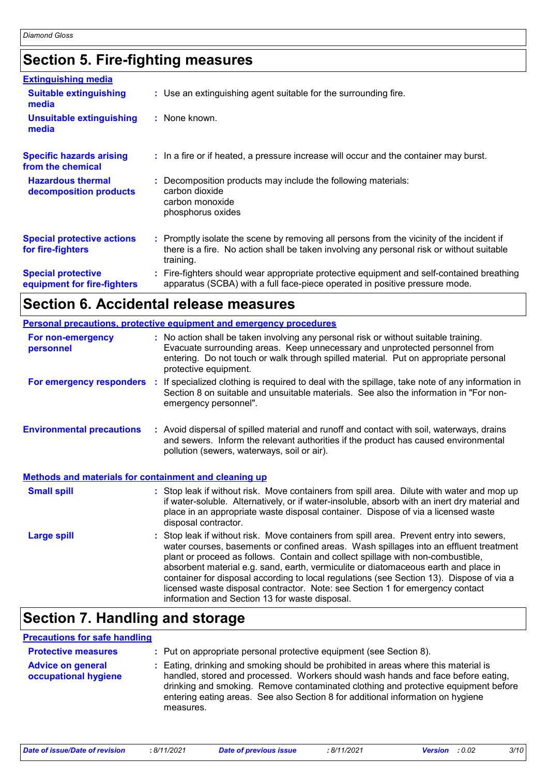# **Section 5. Fire-fighting measures**

| <b>Extinguishing media</b>                               |                                                                                                                                                                                                     |
|----------------------------------------------------------|-----------------------------------------------------------------------------------------------------------------------------------------------------------------------------------------------------|
| <b>Suitable extinguishing</b><br>media                   | : Use an extinguishing agent suitable for the surrounding fire.                                                                                                                                     |
| <b>Unsuitable extinguishing</b><br>media                 | : None known.                                                                                                                                                                                       |
| <b>Specific hazards arising</b><br>from the chemical     | : In a fire or if heated, a pressure increase will occur and the container may burst.                                                                                                               |
| <b>Hazardous thermal</b><br>decomposition products       | Decomposition products may include the following materials:<br>carbon dioxide<br>carbon monoxide<br>phosphorus oxides                                                                               |
| <b>Special protective actions</b><br>for fire-fighters   | : Promptly isolate the scene by removing all persons from the vicinity of the incident if<br>there is a fire. No action shall be taken involving any personal risk or without suitable<br>training. |
| <b>Special protective</b><br>equipment for fire-fighters | Fire-fighters should wear appropriate protective equipment and self-contained breathing<br>apparatus (SCBA) with a full face-piece operated in positive pressure mode.                              |

### **Section 6. Accidental release measures**

|                                                              | Personal precautions, protective equipment and emergency procedures                                                                                                                                                                                                                                                                                                                                                                                                                                                                                                                        |
|--------------------------------------------------------------|--------------------------------------------------------------------------------------------------------------------------------------------------------------------------------------------------------------------------------------------------------------------------------------------------------------------------------------------------------------------------------------------------------------------------------------------------------------------------------------------------------------------------------------------------------------------------------------------|
| For non-emergency<br>personnel                               | : No action shall be taken involving any personal risk or without suitable training.<br>Evacuate surrounding areas. Keep unnecessary and unprotected personnel from<br>entering. Do not touch or walk through spilled material. Put on appropriate personal<br>protective equipment.                                                                                                                                                                                                                                                                                                       |
| For emergency responders                                     | : If specialized clothing is required to deal with the spillage, take note of any information in<br>Section 8 on suitable and unsuitable materials. See also the information in "For non-<br>emergency personnel".                                                                                                                                                                                                                                                                                                                                                                         |
| <b>Environmental precautions</b>                             | : Avoid dispersal of spilled material and runoff and contact with soil, waterways, drains<br>and sewers. Inform the relevant authorities if the product has caused environmental<br>pollution (sewers, waterways, soil or air).                                                                                                                                                                                                                                                                                                                                                            |
| <b>Methods and materials for containment and cleaning up</b> |                                                                                                                                                                                                                                                                                                                                                                                                                                                                                                                                                                                            |
| <b>Small spill</b>                                           | : Stop leak if without risk. Move containers from spill area. Dilute with water and mop up<br>if water-soluble. Alternatively, or if water-insoluble, absorb with an inert dry material and<br>place in an appropriate waste disposal container. Dispose of via a licensed waste<br>disposal contractor.                                                                                                                                                                                                                                                                                   |
| <b>Large spill</b>                                           | : Stop leak if without risk. Move containers from spill area. Prevent entry into sewers,<br>water courses, basements or confined areas. Wash spillages into an effluent treatment<br>plant or proceed as follows. Contain and collect spillage with non-combustible,<br>absorbent material e.g. sand, earth, vermiculite or diatomaceous earth and place in<br>container for disposal according to local regulations (see Section 13). Dispose of via a<br>licensed waste disposal contractor. Note: see Section 1 for emergency contact<br>information and Section 13 for waste disposal. |

# **Section 7. Handling and storage**

### **Precautions for safe handling**

| <b>Protective measures</b>                       | : Put on appropriate personal protective equipment (see Section 8).                                                                                                                                                                                                                                                                                           |
|--------------------------------------------------|---------------------------------------------------------------------------------------------------------------------------------------------------------------------------------------------------------------------------------------------------------------------------------------------------------------------------------------------------------------|
| <b>Advice on general</b><br>occupational hygiene | : Eating, drinking and smoking should be prohibited in areas where this material is<br>handled, stored and processed. Workers should wash hands and face before eating,<br>drinking and smoking. Remove contaminated clothing and protective equipment before<br>entering eating areas. See also Section 8 for additional information on hygiene<br>measures. |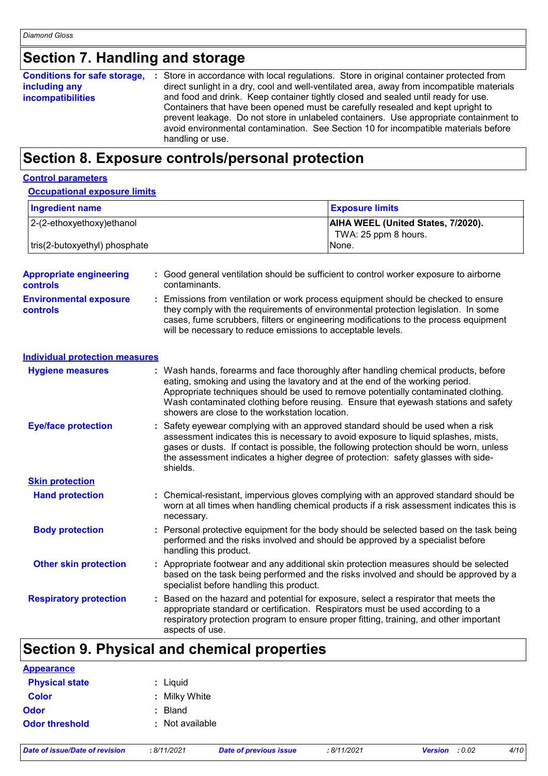## **Section 7. Handling and storage**

| <b>Conditions for safe storage,</b> | : Store in accordance with local regulations. Store in original container protected from  |
|-------------------------------------|-------------------------------------------------------------------------------------------|
| including any                       | direct sunlight in a dry, cool and well-ventilated area, away from incompatible materials |
| <b>incompatibilities</b>            | and food and drink. Keep container tightly closed and sealed until ready for use.         |
|                                     | Containers that have been opened must be carefully resealed and kept upright to           |
|                                     | prevent leakage. Do not store in unlabeled containers. Use appropriate containment to     |
|                                     | avoid environmental contamination. See Section 10 for incompatible materials before       |
|                                     | handling or use.                                                                          |

### **Section 8. Exposure controls/personal protection**

#### **Control parameters**

#### **Occupational exposure limits**

| Ingredient name               | <b>Exposure limits</b>                                            |
|-------------------------------|-------------------------------------------------------------------|
| $ 2-(2-ethoxyethoxy)ethanol$  | <b>AIHA WEEL (United States, 7/2020).</b><br>TWA: 25 ppm 8 hours. |
| tris(2-butoxyethyl) phosphate | INone.                                                            |

| <b>Appropriate engineering</b><br><b>controls</b> | : Good general ventilation should be sufficient to control worker exposure to airborne<br>contaminants.                                                                                                                                                                                                                                                                                           |
|---------------------------------------------------|---------------------------------------------------------------------------------------------------------------------------------------------------------------------------------------------------------------------------------------------------------------------------------------------------------------------------------------------------------------------------------------------------|
| <b>Environmental exposure</b><br>controls         | Emissions from ventilation or work process equipment should be checked to ensure<br>they comply with the requirements of environmental protection legislation. In some<br>cases, fume scrubbers, filters or engineering modifications to the process equipment<br>will be necessary to reduce emissions to acceptable levels.                                                                     |
| <b>Individual protection measures</b>             |                                                                                                                                                                                                                                                                                                                                                                                                   |
| <b>Hygiene measures</b>                           | : Wash hands, forearms and face thoroughly after handling chemical products, before<br>eating, smoking and using the lavatory and at the end of the working period.<br>Appropriate techniques should be used to remove potentially contaminated clothing.<br>Wash contaminated clothing before reusing. Ensure that eyewash stations and safety<br>showers are close to the workstation location. |
| <b>Eye/face protection</b>                        | Safety eyewear complying with an approved standard should be used when a risk<br>assessment indicates this is necessary to avoid exposure to liquid splashes, mists,<br>gases or dusts. If contact is possible, the following protection should be worn, unless<br>the assessment indicates a higher degree of protection: safety glasses with side-<br>shields.                                  |
| <b>Skin protection</b>                            |                                                                                                                                                                                                                                                                                                                                                                                                   |
| <b>Hand protection</b>                            | : Chemical-resistant, impervious gloves complying with an approved standard should be<br>worn at all times when handling chemical products if a risk assessment indicates this is<br>necessary.                                                                                                                                                                                                   |
| <b>Body protection</b>                            | Personal protective equipment for the body should be selected based on the task being<br>performed and the risks involved and should be approved by a specialist before<br>handling this product.                                                                                                                                                                                                 |
| <b>Other skin protection</b>                      | Appropriate footwear and any additional skin protection measures should be selected<br>based on the task being performed and the risks involved and should be approved by a<br>specialist before handling this product.                                                                                                                                                                           |
| <b>Respiratory protection</b>                     | Based on the hazard and potential for exposure, select a respirator that meets the<br>appropriate standard or certification. Respirators must be used according to a<br>respiratory protection program to ensure proper fitting, training, and other important<br>aspects of use.                                                                                                                 |

# **Section 9. Physical and chemical properties**

| : Liquid        |
|-----------------|
| : Milky White   |
| : Bland         |
| : Not available |
|                 |

*Date of issue/Date of revision* **:** *8/11/2021 Date of previous issue : 8/11/2021 Version : 0.02 4/10*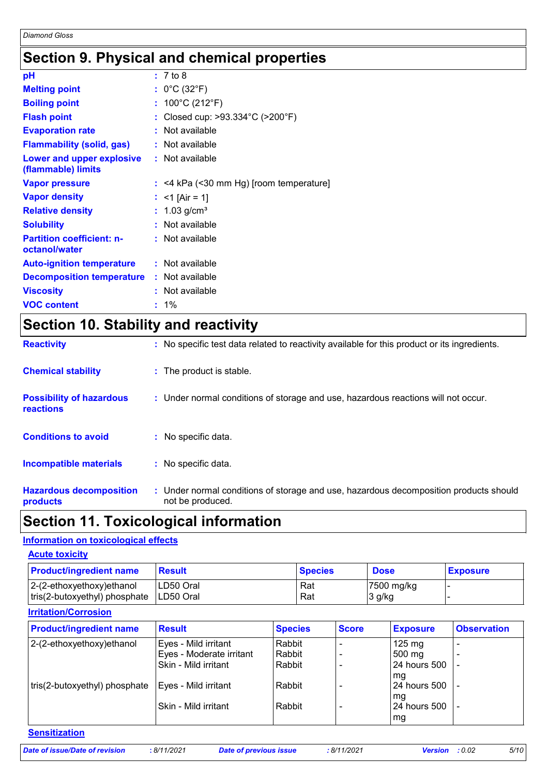### **Section 9. Physical and chemical properties**

| рH                                                |    | : 7 to 8                              |
|---------------------------------------------------|----|---------------------------------------|
| <b>Melting point</b>                              |    | : $0^{\circ}$ C (32 $^{\circ}$ F)     |
| <b>Boiling point</b>                              | t. | 100°C (212°F)                         |
| <b>Flash point</b>                                |    | Closed cup: >93.334°C (>200°F)        |
| <b>Evaporation rate</b>                           |    | Not available                         |
| <b>Flammability (solid, gas)</b>                  |    | Not available                         |
| Lower and upper explosive<br>(flammable) limits   |    | : Not available                       |
| <b>Vapor pressure</b>                             |    | <4 kPa (<30 mm Hg) [room temperature] |
| <b>Vapor density</b>                              |    | $<$ 1 [Air = 1]                       |
| <b>Relative density</b>                           |    | $1.03$ g/cm <sup>3</sup>              |
| <b>Solubility</b>                                 |    | Not available                         |
| <b>Partition coefficient: n-</b><br>octanol/water |    | : Not available                       |
| <b>Auto-ignition temperature</b>                  |    | : Not available                       |
| <b>Decomposition temperature</b>                  |    | $:$ Not available                     |
| <b>Viscosity</b>                                  |    | Not available                         |
| <b>VOC content</b>                                |    | 1%                                    |

# **Section 10. Stability and reactivity**

| <b>Reactivity</b>                            | : No specific test data related to reactivity available for this product or its ingredients.              |
|----------------------------------------------|-----------------------------------------------------------------------------------------------------------|
| <b>Chemical stability</b>                    | : The product is stable.                                                                                  |
| <b>Possibility of hazardous</b><br>reactions | : Under normal conditions of storage and use, hazardous reactions will not occur.                         |
| <b>Conditions to avoid</b>                   | : No specific data.                                                                                       |
| <b>Incompatible materials</b>                | : No specific data.                                                                                       |
| <b>Hazardous decomposition</b><br>products   | : Under normal conditions of storage and use, hazardous decomposition products should<br>not be produced. |

# **Section 11. Toxicological information**

### **Information on toxicological effects**

| <b>Acute toxicity</b>                                         |                                |                |                      |                 |  |
|---------------------------------------------------------------|--------------------------------|----------------|----------------------|-----------------|--|
| <b>Product/ingredient name</b>                                | <b>Result</b>                  | <b>Species</b> | <b>Dose</b>          | <b>Exposure</b> |  |
| $ 2-(2-ethoxyethoxy)ethanol$<br>tris(2-butoxyethyl) phosphate | LD50 Oral<br><b>ILD50 Oral</b> | Rat<br>Rat     | 7500 mg/kg<br>3 g/kg |                 |  |

### **Irritation/Corrosion**

| <b>Product/ingredient name</b> | <b>Result</b>            | <b>Species</b> | <b>Score</b> | <b>Exposure</b>     | <b>Observation</b> |
|--------------------------------|--------------------------|----------------|--------------|---------------------|--------------------|
| 2-(2-ethoxyethoxy)ethanol      | Eyes - Mild irritant     | Rabbit         |              | $125 \text{ mg}$    |                    |
|                                | Eyes - Moderate irritant | Rabbit         |              | 500 mg              |                    |
|                                | Skin - Mild irritant     | Rabbit         |              | <b>24 hours 500</b> |                    |
|                                |                          |                |              | l mg                |                    |
| tris(2-butoxyethyl) phosphate  | Eyes - Mild irritant     | Rabbit         |              | 24 hours 500        |                    |
|                                |                          |                |              | mg                  |                    |
|                                | Skin - Mild irritant     | Rabbit         |              | 24 hours 500        |                    |
|                                |                          |                |              | mg                  |                    |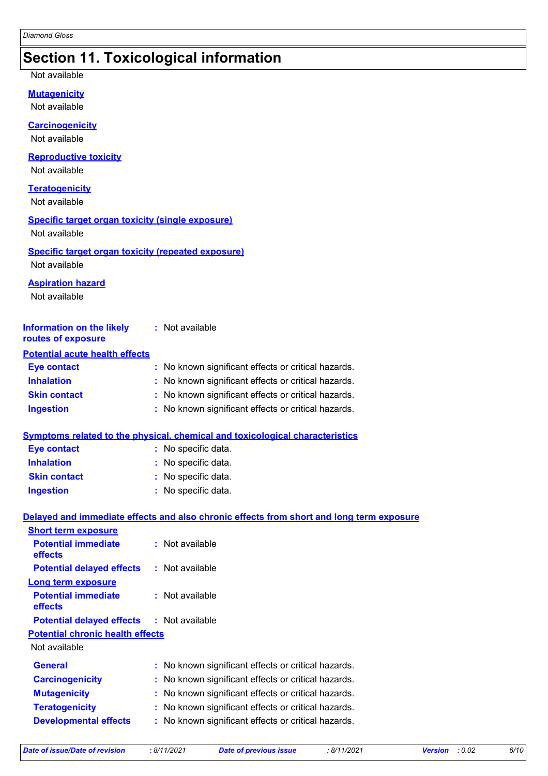### **Section 11. Toxicological information**

Not available

**Mutagenicity**

Not available

**Carcinogenicity**

Not available

#### **Reproductive toxicity**

Not available

#### **Teratogenicity**

Not available

### **Specific target organ toxicity (single exposure)**

Not available

#### **Specific target organ toxicity (repeated exposure)** Not available

**Aspiration hazard**

Not available

| <b>Information on the likely</b><br>routes of exposure | : Not available                                     |
|--------------------------------------------------------|-----------------------------------------------------|
| <b>Potential acute health effects</b>                  |                                                     |
| <b>Eye contact</b>                                     | : No known significant effects or critical hazards. |
| <b>Inhalation</b>                                      | : No known significant effects or critical hazards. |
| <b>Skin contact</b>                                    | : No known significant effects or critical hazards. |
| <b>Ingestion</b>                                       | : No known significant effects or critical hazards. |

#### **Symptoms related to the physical, chemical and toxicological characteristics**

| <b>Eye contact</b>  | : No specific data. |
|---------------------|---------------------|
| <b>Inhalation</b>   | : No specific data. |
| <b>Skin contact</b> | : No specific data. |
| <b>Ingestion</b>    | : No specific data. |

#### **Delayed and immediate effects and also chronic effects from short and long term exposure Short term exposure**

| <u>UNUR LUMM UADUJURU</u>                        |                                                     |  |
|--------------------------------------------------|-----------------------------------------------------|--|
| <b>Potential immediate</b><br><b>effects</b>     | : Not available                                     |  |
| <b>Potential delayed effects</b>                 | : Not available                                     |  |
| <b>Long term exposure</b>                        |                                                     |  |
| <b>Potential immediate</b><br><b>effects</b>     | : Not available                                     |  |
| <b>Potential delayed effects : Not available</b> |                                                     |  |
| <b>Potential chronic health effects</b>          |                                                     |  |
| Not available                                    |                                                     |  |
| <b>General</b>                                   | : No known significant effects or critical hazards. |  |
| <b>Carcinogenicity</b>                           | : No known significant effects or critical hazards. |  |
| <b>Mutagenicity</b>                              | : No known significant effects or critical hazards. |  |
| <b>Teratogenicity</b>                            | : No known significant effects or critical hazards. |  |
| <b>Developmental effects</b>                     | : No known significant effects or critical hazards. |  |
|                                                  |                                                     |  |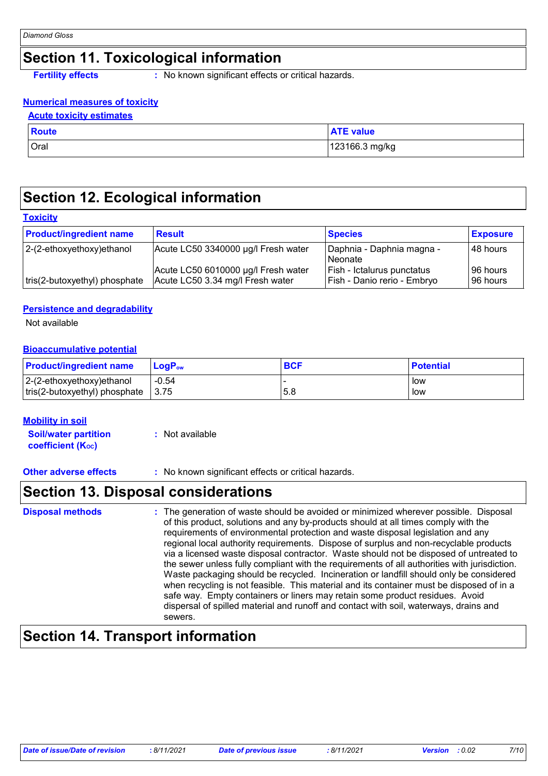# **Section 11. Toxicological information**

**Fertility effects** : No known significant effects or critical hazards.

### **Numerical measures of toxicity**

#### **Acute toxicity estimates**

| <b>Route</b> | <b>ATE value</b> |
|--------------|------------------|
| Oral         | 123166.3 mg/kg   |

## **Section 12. Ecological information**

### **Toxicity**

| <b>Product/ingredient name</b> | <b>Result</b>                                                           | <b>Species</b>                                            | <b>Exposure</b>          |
|--------------------------------|-------------------------------------------------------------------------|-----------------------------------------------------------|--------------------------|
| $ 2-(2-ethoxyethoxy)e$ thanol  | Acute LC50 3340000 µg/l Fresh water                                     | Daphnia - Daphnia magna -<br>Neonate                      | I48 hours                |
| tris(2-butoxyethyl) phosphate  | Acute LC50 6010000 µg/l Fresh water<br>Acute LC50 3.34 mg/l Fresh water | Fish - Ictalurus punctatus<br>Fish - Danio rerio - Embryo | I96 hours l<br>196 hours |

### **Persistence and degradability**

Not available

#### **Bioaccumulative potential**

| <b>Product/ingredient name</b>          | <b>LogP</b> <sub>ow</sub> | <b>BCF</b> | <b>Potential</b> |
|-----------------------------------------|---------------------------|------------|------------------|
| $ 2-(2-ethoxyethoxy)ethanol$            | $-0.54$                   |            | low              |
| $\lfloor$ tris(2-butoxyethyl) phosphate | 3.75                      | 5.8        | low              |

#### **Mobility in soil**

**Soil/water partition coefficient (KOC) :** Not available

**Other adverse effects** : No known significant effects or critical hazards.

### **Section 13. Disposal considerations**

| <b>Disposal methods</b> | : The generation of waste should be avoided or minimized wherever possible. Disposal<br>of this product, solutions and any by-products should at all times comply with the<br>requirements of environmental protection and waste disposal legislation and any<br>regional local authority requirements. Dispose of surplus and non-recyclable products<br>via a licensed waste disposal contractor. Waste should not be disposed of untreated to<br>the sewer unless fully compliant with the requirements of all authorities with jurisdiction.<br>Waste packaging should be recycled. Incineration or landfill should only be considered<br>when recycling is not feasible. This material and its container must be disposed of in a<br>safe way. Empty containers or liners may retain some product residues. Avoid<br>dispersal of spilled material and runoff and contact with soil, waterways, drains and<br>sewers. |
|-------------------------|----------------------------------------------------------------------------------------------------------------------------------------------------------------------------------------------------------------------------------------------------------------------------------------------------------------------------------------------------------------------------------------------------------------------------------------------------------------------------------------------------------------------------------------------------------------------------------------------------------------------------------------------------------------------------------------------------------------------------------------------------------------------------------------------------------------------------------------------------------------------------------------------------------------------------|
|-------------------------|----------------------------------------------------------------------------------------------------------------------------------------------------------------------------------------------------------------------------------------------------------------------------------------------------------------------------------------------------------------------------------------------------------------------------------------------------------------------------------------------------------------------------------------------------------------------------------------------------------------------------------------------------------------------------------------------------------------------------------------------------------------------------------------------------------------------------------------------------------------------------------------------------------------------------|

### **Section 14. Transport information**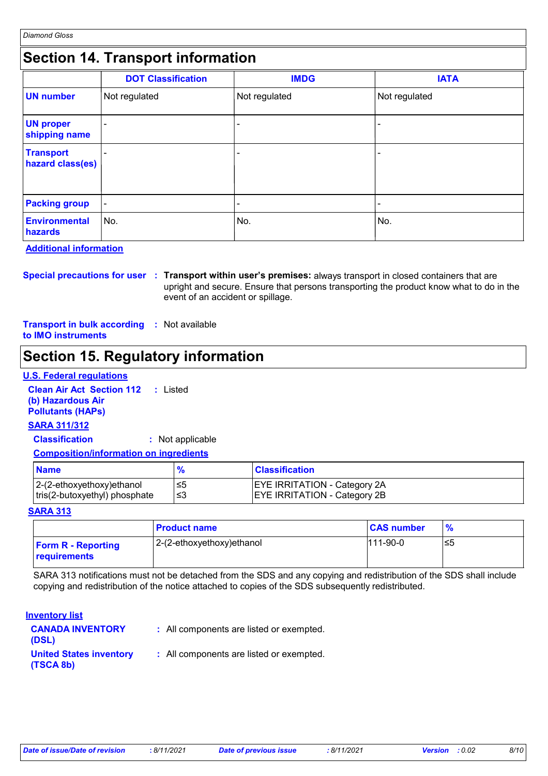### **Section 14. Transport information**

|                                      | <b>DOT Classification</b> | <b>IMDG</b>   | <b>IATA</b>   |
|--------------------------------------|---------------------------|---------------|---------------|
| <b>UN number</b>                     | Not regulated             | Not regulated | Not regulated |
| <b>UN proper</b><br>shipping name    |                           |               | ۰             |
| <b>Transport</b><br>hazard class(es) |                           | -             |               |
| <b>Packing group</b>                 | $\blacksquare$            | -             |               |
| <b>Environmental</b><br>hazards      | ∣No.                      | No.           | ∣No.          |

**Additional information**

**Special precautions for user Transport within user's premises:** always transport in closed containers that are **:** upright and secure. Ensure that persons transporting the product know what to do in the event of an accident or spillage.

**Transport in bulk according :** Not available **to IMO instruments**

# **Section 15. Regulatory information**

#### **U.S. Federal regulations**

**Clean Air Act Section 112 :** Listed **(b) Hazardous Air Pollutants (HAPs)**

### **SARA 311/312**

**Classification :** Not applicable

#### **Composition/information on ingredients**

| <b>Name</b>                                                    |      | <b>Classification</b>                                                      |
|----------------------------------------------------------------|------|----------------------------------------------------------------------------|
| $ 2-(2-ethoxyethoxy)e$ thanol<br>tris(2-butoxyethyl) phosphate | ' ≤3 | <b>EYE IRRITATION - Category 2A</b><br><b>EYE IRRITATION - Category 2B</b> |

#### **SARA 313**

|                                           | <b>Product name</b>       | <b>CAS number</b> | $\frac{9}{6}$ |
|-------------------------------------------|---------------------------|-------------------|---------------|
| <b>Form R - Reporting</b><br>requirements | 2-(2-ethoxyethoxy)ethanol | $111-90-0$        | ≤5            |

SARA 313 notifications must not be detached from the SDS and any copying and redistribution of the SDS shall include copying and redistribution of the notice attached to copies of the SDS subsequently redistributed.

#### **Inventory list**

| <b>CANADA INVENTORY</b><br>(DSL)            | : All components are listed or exempted. |
|---------------------------------------------|------------------------------------------|
| <b>United States inventory</b><br>(TSCA 8b) | : All components are listed or exempted. |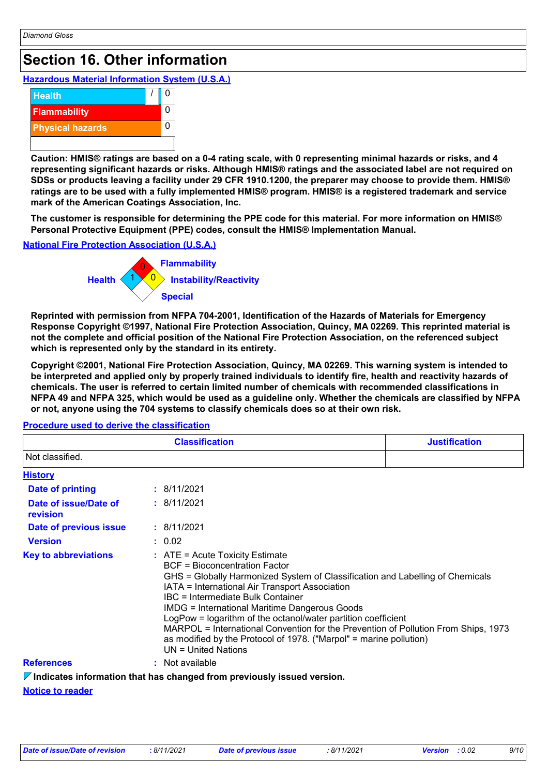# **Section 16. Other information**

### **Hazardous Material Information System (U.S.A.)**



**Caution: HMIS® ratings are based on a 0-4 rating scale, with 0 representing minimal hazards or risks, and 4 representing significant hazards or risks. Although HMIS® ratings and the associated label are not required on SDSs or products leaving a facility under 29 CFR 1910.1200, the preparer may choose to provide them. HMIS® ratings are to be used with a fully implemented HMIS® program. HMIS® is a registered trademark and service mark of the American Coatings Association, Inc.**

**The customer is responsible for determining the PPE code for this material. For more information on HMIS® Personal Protective Equipment (PPE) codes, consult the HMIS® Implementation Manual.**

### **National Fire Protection Association (U.S.A.)**



**Reprinted with permission from NFPA 704-2001, Identification of the Hazards of Materials for Emergency Response Copyright ©1997, National Fire Protection Association, Quincy, MA 02269. This reprinted material is not the complete and official position of the National Fire Protection Association, on the referenced subject which is represented only by the standard in its entirety.**

**Copyright ©2001, National Fire Protection Association, Quincy, MA 02269. This warning system is intended to be interpreted and applied only by properly trained individuals to identify fire, health and reactivity hazards of chemicals. The user is referred to certain limited number of chemicals with recommended classifications in NFPA 49 and NFPA 325, which would be used as a guideline only. Whether the chemicals are classified by NFPA or not, anyone using the 704 systems to classify chemicals does so at their own risk.**

| <b>Classification</b>             |                                                                                                                                                                                                                                                                                                                                                                                                                                                                                                                                                                          | <b>Justification</b> |  |
|-----------------------------------|--------------------------------------------------------------------------------------------------------------------------------------------------------------------------------------------------------------------------------------------------------------------------------------------------------------------------------------------------------------------------------------------------------------------------------------------------------------------------------------------------------------------------------------------------------------------------|----------------------|--|
| Not classified.                   |                                                                                                                                                                                                                                                                                                                                                                                                                                                                                                                                                                          |                      |  |
| <b>History</b>                    |                                                                                                                                                                                                                                                                                                                                                                                                                                                                                                                                                                          |                      |  |
| <b>Date of printing</b>           | : 8/11/2021                                                                                                                                                                                                                                                                                                                                                                                                                                                                                                                                                              |                      |  |
| Date of issue/Date of<br>revision | : 8/11/2021                                                                                                                                                                                                                                                                                                                                                                                                                                                                                                                                                              |                      |  |
| Date of previous issue            | : 8/11/2021                                                                                                                                                                                                                                                                                                                                                                                                                                                                                                                                                              |                      |  |
| <b>Version</b>                    | : 0.02                                                                                                                                                                                                                                                                                                                                                                                                                                                                                                                                                                   |                      |  |
| <b>Key to abbreviations</b>       | $\therefore$ ATE = Acute Toxicity Estimate<br><b>BCF</b> = Bioconcentration Factor<br>GHS = Globally Harmonized System of Classification and Labelling of Chemicals<br>IATA = International Air Transport Association<br>IBC = Intermediate Bulk Container<br><b>IMDG = International Maritime Dangerous Goods</b><br>LogPow = logarithm of the octanol/water partition coefficient<br>MARPOL = International Convention for the Prevention of Pollution From Ships, 1973<br>as modified by the Protocol of 1978. ("Marpol" = marine pollution)<br>$UN = United Nations$ |                      |  |
| <b>References</b>                 | : Not available                                                                                                                                                                                                                                                                                                                                                                                                                                                                                                                                                          |                      |  |

#### **Procedure used to derive the classification**

**Indicates information that has changed from previously issued version.**

#### **Notice to reader**